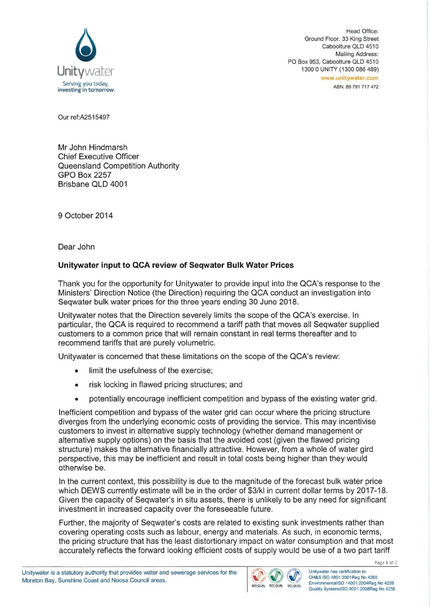

Head Office: Ground Floor, 33 King Street Caboolture OLD 4510 Mailing Address: PO Box 953, Caboolture OLD 4510 1300 0 UNITY (1300 086 489) www.unitywater.com ABN: 89 791 717 472

Our ref:A2515497

Mr John Hindmarsh Chief Executive Officer Queensland Competition Authority GPO Box 2257 Brisbane QLD 4001

9 October 2014

Dear John

## **Unitywater input to QCA review of Seqwater Bulk Water Prices**

Thank you for the opportunity for Unitywater to provide input into the QCA's response to the Ministers' Direction Notice (the Direction) requiring the QCA conduct an investigation into Seqwater bulk water prices for the three years ending 30 June 2018.

Unitywater notes that the Direction severely limits the scope of the QCA's exercise. In particular, the QCA is required to recommend a tariff path that moves all Seqwater supplied customers to a common price that will remain constant in real terms thereafter and to recommend tariffs that are purely volumetric.

Unitywater is concerned that these limitations on the scope of the QCA's review:

- limit the usefulness of the exercise;
- risk locking in flawed pricing structures; and
- potentially encourage inefficient competition and bypass of the existing water grid.

Inefficient competition and bypass of the water grid can occur where the pricing structure diverges from the underlying economic costs of providing the service. This may incentivise customers to invest in alternative supply technology (whether demand management or alternative supply options) on the basis that the avoided cost (given the flawed pricing structure) makes the alternative financially attractive. However, from a whole of water gird perspective, this may be inefficient and result in total costs being higher than they would otherwise be.

In the current context, this possibility is due to the magnitude of the forecast bulk water price which DEWS currently estimate will be in the order of \$3/kl in current dollar terms by 2017-18. Given the capacity of Seqwater's in situ assets, there is unlikely to be any need for significant investment in increased capacity over the foreseeable future.

Further, the majority of Seqwater's costs are related to existing sunk investments rather than covering operating costs such as labour, energy and materials. As such, in economic terms, the pricing structure that has the least distortionary impact on water consumption and that most accurately reflects the forward looking efficient costs of supply would be use of a two part tariff